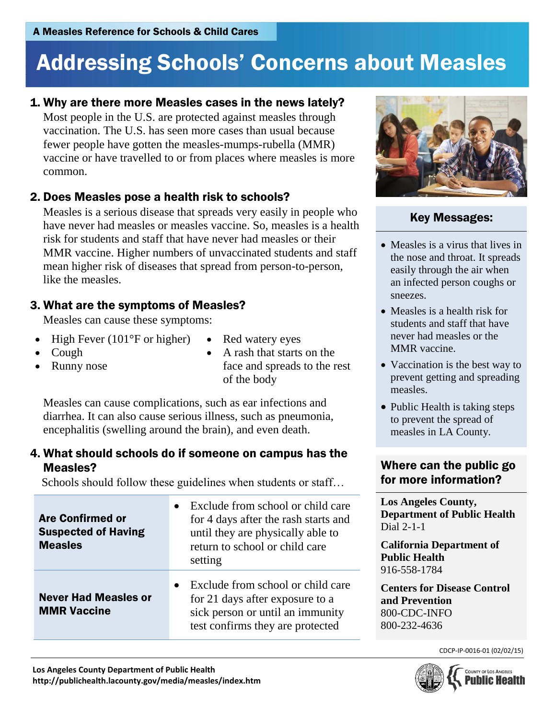# Addressing Schools' Concerns about Measles

#### 1. Why are there more Measles cases in the news lately?

Most people in the U.S. are protected against measles through vaccination. The U.S. has seen more cases than usual because fewer people have gotten the measles-mumps-rubella (MMR) vaccine or have travelled to or from places where measles is more common.

## 2. Does Measles pose a health risk to schools?

Measles is a serious disease that spreads very easily in people who have never had measles or measles vaccine. So, measles is a health risk for students and staff that have never had measles or their MMR vaccine. Higher numbers of unvaccinated students and staff mean higher risk of diseases that spread from person-to-person, like the measles.

## 3. What are the symptoms of Measles?

Measles can cause these symptoms:

- High Fever (101 $\degree$ F or higher) Red watery eyes
- 
- Runny nose
- Cough A rash that starts on the face and spreads to the rest of the body

Measles can cause complications, such as ear infections and diarrhea. It can also cause serious illness, such as pneumonia, encephalitis (swelling around the brain), and even death.

#### 4. What should schools do if someone on campus has the Measles?

Schools should follow these guidelines when students or staff...

| <b>Are Confirmed or</b><br><b>Suspected of Having</b><br><b>Measles</b> | Exclude from school or child care<br>for 4 days after the rash starts and<br>until they are physically able to<br>return to school or child care<br>setting |
|-------------------------------------------------------------------------|-------------------------------------------------------------------------------------------------------------------------------------------------------------|
| <b>Never Had Measles or</b><br><b>MMR Vaccine</b>                       | Exclude from school or child care<br>for 21 days after exposure to a<br>sick person or until an immunity<br>test confirms they are protected                |



#### Key Messages:

- Measles is a virus that lives in the nose and throat. It spreads easily through the air when an infected person coughs or sneezes.
- Measles is a health risk for students and staff that have never had measles or the MMR vaccine.
- Vaccination is the best way to prevent getting and spreading measles.
- Public Health is taking steps to prevent the spread of measles in LA County.

#### Where can the public go for more information?

**Los Angeles County, Department of Public Health** Dial 2-1-1

**California Department of Public Health** 916-558-1784

**Centers for Disease Control and Prevention** 800-CDC-INFO 800-232-4636



CDCP-IP-0016-01 (02/02/15)